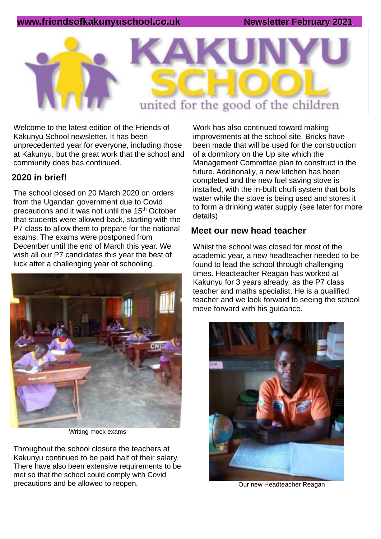### **www.friendsofkakunyuschool.co.uk Newsletter February 2021**



Welcome to the latest edition of the Friends of Kakunyu School newsletter. It has been unprecedented year for everyone, including those at Kakunyu, but the great work that the school and community does has continued.

### **2020 in brief!**

The school closed on 20 March 2020 on orders from the Ugandan government due to Covid precautions and it was not until the 15<sup>th</sup> October that students were allowed back, starting with the P7 class to allow them to prepare for the national exams. The exams were postponed from December until the end of March this year. We wish all our P7 candidates this year the best of luck after a challenging year of schooling.



Writing mock exams

Throughout the school closure the teachers at Kakunyu continued to be paid half of their salary. There have also been extensive requirements to be met so that the school could comply with Covid precautions and be allowed to reopen.

Work has also continued toward making improvements at the school site. Bricks have been made that will be used for the construction of a dormitory on the Up site which the Management Committee plan to construct in the future. Additionally, a new kitchen has been completed and the new fuel saving stove is installed, with the in-built chulli system that boils water while the stove is being used and stores it to form a drinking water supply (see later for more details)

#### **Meet our new head teacher**

Whilst the school was closed for most of the academic year, a new headteacher needed to be found to lead the school through challenging times. Headteacher Reagan has worked at Kakunyu for 3 years already, as the P7 class teacher and maths specialist. He is a qualified teacher and we look forward to seeing the school move forward with his guidance.



Our new Headteacher Reagan